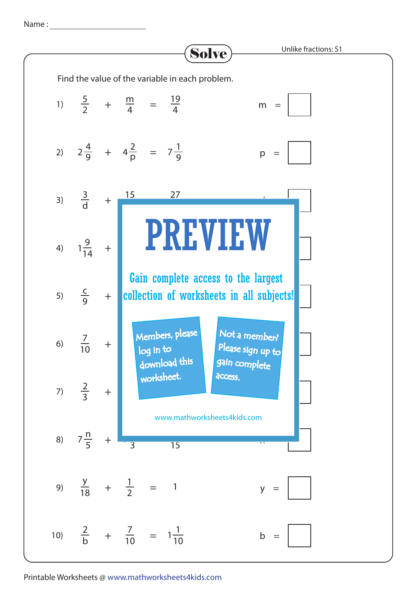Name :